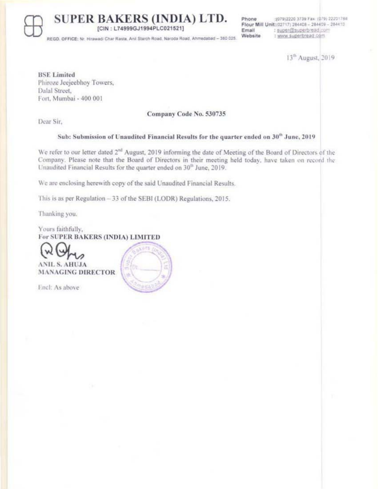[CIN: L74999GJ1994PLC021521]

Phone :(079)2220 3739 Fax: (079) 22201786 Flour Mill Unit:(02717) 284408 - 284409 - 284410 Email : super@superbread.com Website : www.superbread.com

REGD, OFFICE: Nr. Hirawadi Char Rasta, Anil Starch Road, Naroda Road, Ahmedabad - 380 025

13<sup>th</sup> August, 2019

**BSE** Limited Phiroze Jeejeebhoy Towers, Dalal Street, Fort, Mumbai - 400 001

### Company Code No. 530735

Dear Sir.

## Sub: Submission of Unaudited Financial Results for the quarter ended on 30<sup>th</sup> June, 2019

We refer to our letter dated 2<sup>nd</sup> August, 2019 informing the date of Meeting of the Board of Directors of the Company. Please note that the Board of Directors in their meeting held today, have taken on record the Unaudited Financial Results for the quarter ended on 30<sup>th</sup> June, 2019.

We are enclosing herewith copy of the said Unaudited Financial Results.

This is as per Regulation - 33 of the SEBI (LODR) Regulations, 2015.

Thanking you.

Yours faithfully, For SUPER BAKERS (INDIA) LIMITED



Encl: As above

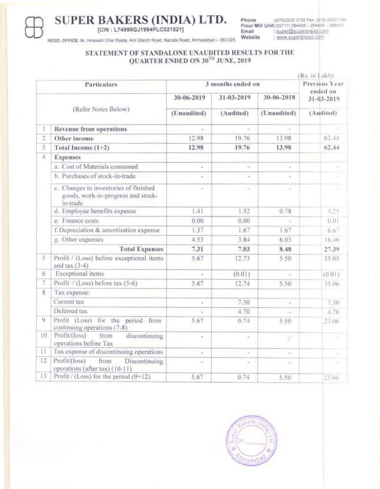REGD, OFFICE: Nr. Hirawadi Char Rasta, Anii Starch Road, Naroda Road, Ahmedabad - 380 025.

:(079)2220 3739 Fax: (079) 22201788 Phone Flour Mill Unit:(02717) 284408 - 284409 - 284410 Email : super@superbread.com Website : www.superbread.com

# STATEMENT OF STANDALONE UNAUDITED RESULTS FOR THE QUARTER ENDED ON  $30^\mathrm{TH}$  JUNE, 2019

| (Rs. in Lakh)<br>3 months ended on<br>Particulars |                                                                                         |                           |                         |                           |                                     |  |
|---------------------------------------------------|-----------------------------------------------------------------------------------------|---------------------------|-------------------------|---------------------------|-------------------------------------|--|
|                                                   |                                                                                         |                           |                         |                           |                                     |  |
| (Refer Notes Below)                               |                                                                                         | 30-06-2019<br>(Unaudited) | 31-03-2019<br>(Audited) | 30-06-2018<br>(Unaudited) | ended on<br>31-03-2019<br>(Audited) |  |
|                                                   |                                                                                         |                           |                         |                           |                                     |  |
| $\overline{2}$                                    | Other income                                                                            | 12.98                     | 19.76                   | 13.98                     | 62.44                               |  |
| 3                                                 | Total Income $(1+2)$                                                                    | 12.98                     | 19.76                   | 13.98                     | 62.44                               |  |
| 4                                                 | <b>Expenses</b>                                                                         |                           |                         |                           |                                     |  |
|                                                   | a. Cost of Materials consumed                                                           |                           | $\sim$                  | ÷                         |                                     |  |
|                                                   | b. Purchases of stock-in-trade                                                          | $\sim$                    | ä.                      | $\sim$                    |                                     |  |
|                                                   | c. Changes in inventories of finished<br>goods, work-in-progress and stock-<br>in-trade | ×.                        | ×                       | $\sim$                    |                                     |  |
|                                                   | d. Employee benefits expense                                                            | 1.41                      | 1.52                    | 0.78                      | 4.25                                |  |
|                                                   | e. Finance costs                                                                        | 0.00                      | 0.00                    |                           | 0.01                                |  |
|                                                   | f. Depreciation & amortisation expense                                                  | 1.37                      | 1.67                    | 1.67                      | 6.67                                |  |
|                                                   | g. Other expenses                                                                       | 4.53                      | 3.84                    | 6.03                      | 16.46                               |  |
|                                                   | <b>Total Expenses</b>                                                                   | 7.31                      | 7.03                    | 8.48                      | 27.39                               |  |
| 5                                                 | Profit / (Loss) before exceptional items<br>and $tan(3-4)$                              | 5.67                      | 12.73                   | 5.50                      | 35.05                               |  |
| 6                                                 | Exceptional items                                                                       |                           | (0.01)                  |                           | (0.01)                              |  |
| 7                                                 | Profit / (Loss) before tax (5-6)                                                        | 5.67                      | 12.74                   | 5.50                      | 35.06                               |  |
| 8                                                 | Tax expense:                                                                            |                           |                         |                           |                                     |  |
|                                                   | Current tax                                                                             | w.                        | 7.30                    | 2                         | 7.30                                |  |
|                                                   | Deferred tax                                                                            |                           | 4.70                    | $\omega$                  | 4.70                                |  |
| 9                                                 | Profit (Loss) for the period from<br>continuing operations (7-8)                        | 5.67                      | 0.74                    | 5.50                      | 23.06                               |  |
| 10                                                | Profit/(loss)<br>from<br>discontinuing<br>operations before Tax                         | $\scriptstyle\rm m$       | $\alpha$ .              | ÷,                        | ×                                   |  |
| 11                                                | Tax expense of discontinuing operations                                                 | G)                        | ä,                      | ä.                        | ź                                   |  |
| 12                                                | Profit/(loss)<br>from<br>Discontinuing<br>operations (after tax) (10-11)                | $=$                       | ú.                      | Ŵ.                        |                                     |  |
| 13                                                | Profit / (Loss) for the period (9+12)                                                   | 5.67                      | 0.74                    | 5.50                      | 23.06                               |  |

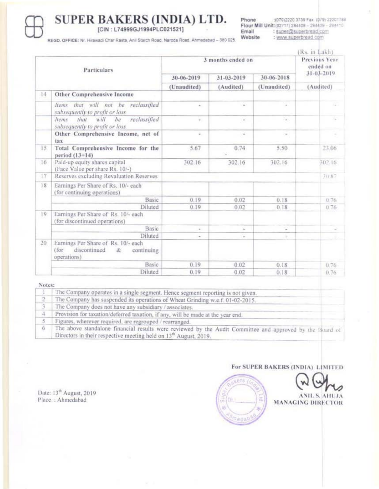Phone :(079)2220 3739 Fax: (079) 22201788 Flour Mill Unit: (02717) 284408 - 284409 - 284410 Email : super@superbread.com Website : www.superbread.com

REGD. OFFICE: Nr. Hirawadi Char Rasta, Anii Starch Road, Naroda Road, Ahmedabad - 380 025.

|             |                                                                                               |                   |            |                          | Rs. in Lakh)              |  |
|-------------|-----------------------------------------------------------------------------------------------|-------------------|------------|--------------------------|---------------------------|--|
| Particulars |                                                                                               | 3 months ended on |            |                          | Previous Year<br>ended on |  |
|             |                                                                                               | 30-06-2019        | 31-03-2019 | 30-06-2018               | 31-03-2019                |  |
|             |                                                                                               | (Unaudited)       | (Audited)  | (Unaudited)              | (Audited)                 |  |
| 14          | Other Comprehensive Income                                                                    |                   |            |                          |                           |  |
|             | that will not be<br>reclassified<br>Items<br>subsequently to profit or loss                   | $\sim$            | $\sim$     | $\overline{\phantom{a}}$ |                           |  |
|             | reclassified<br>that.<br>will<br>Items<br>be<br>subsequently to profit or loss.               |                   | $\omega$   | $\sim$                   |                           |  |
|             | Other Comprehensive Income, net of<br>tax                                                     | $\alpha$ .        | $\sim$     | $\sim$                   |                           |  |
| 15          | Total Comprehensive Income for the<br>period (13+14)                                          | 5.67              | 0.74       | 5.50                     | 23.06                     |  |
| 16          | Paid-up equity shares capital<br>(Face Value per share Rs. 10/-)                              | 302.16            | 302.16     | 302.16                   | 302.16                    |  |
| 17          | Reserves excluding Revaluation Reserves                                                       |                   |            |                          | 30.87                     |  |
| 18          | Earnings Per Share of Rs. 10/- each<br>(for continuing operations)                            |                   |            |                          |                           |  |
|             | <b>Basic</b>                                                                                  | 0.19              | 0.02       | 0.18                     | 0.76                      |  |
|             | Diluted                                                                                       | 0.19              | 0.02       | 0.18                     | 0.76                      |  |
| 19          | Earnings Per Share of Rs. 10/- each<br>(for discontinued operations)                          |                   |            |                          |                           |  |
|             | Basic                                                                                         | ÷                 | $\omega$   | z                        |                           |  |
|             | Diluted                                                                                       | $\sim$            | $\omega$   | à.                       |                           |  |
| 20          | Earnings Per Share of Rs. 10/- each<br>discontinued<br>(for<br>continuing<br>x<br>operations) |                   |            |                          |                           |  |
|             | Basic                                                                                         | 0.19.             | 0.02       | 0.18                     | 0.76                      |  |
|             | Diluted                                                                                       | 0.19              | 0.02       | 0.18                     | 0.76                      |  |

#### Notes:

|    | The Company operates in a single segment. Hence segment reporting is not given.                                                                                                          |  |  |
|----|------------------------------------------------------------------------------------------------------------------------------------------------------------------------------------------|--|--|
|    | The Company has suspended its operations of Wheat Grinding w.e.f. 01-02-2015.                                                                                                            |  |  |
|    | The Company does not have any subsidiary / associates.                                                                                                                                   |  |  |
| a. | Provision for taxation/deferred taxation, if any, will be made at the year end.                                                                                                          |  |  |
|    | Figures, wherever required, are regrouped / rearranged.                                                                                                                                  |  |  |
|    | The above standalone financial results were reviewed by the Audit Committee and approved by the Board of<br>Directors in their respective meeting held on 13 <sup>th</sup> August, 2019. |  |  |

Date: 13<sup>th</sup> August, 2019<br>Place: : Ahmedabad

## For SUPER BAKERS (INDIA) LIMITED



**ANIL S. AHUJA MANAGING DIRECTOR**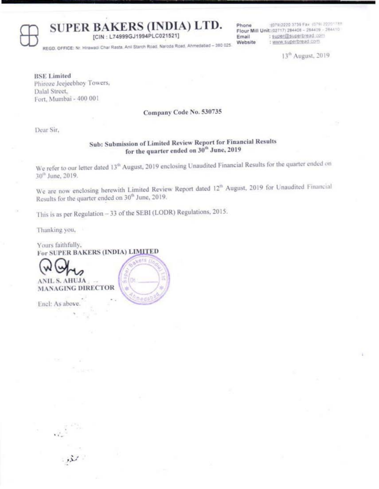[CIN: L74999GJ1994PLC021521]

1079)2220 3739 Fax (079) 2220\*788 Phone Flour Mill Unit: (02717) 284408 - 284409 - 284410 : super@superbread.com Email : www.superbread.com Website

REGD, OFFICE: Nr. Hirawadi Char Rasta, Anii Starch Road, Naroda Road, Ahmedabad - 380 025.

13<sup>th</sup> August, 2019

**BSE Limited** Phiroze Jeejeebhoy Towers, Dalal Street, Fort, Mumbai - 400 001

Company Code No. 530735

Dear Sir,

# Sub: Submission of Limited Review Report for Financial Results for the quarter ended on 30<sup>th</sup> June, 2019

We refer to our letter dated 13<sup>th</sup> August, 2019 enclosing Unaudited Financial Results for the quarter ended on 30<sup>th</sup> June, 2019.

We are now enclosing herewith Limited Review Report dated 12<sup>th</sup> August, 2019 for Unaudited Financial Results for the quarter ended on 30<sup>th</sup> June, 2019.

This is as per Regulation - 33 of the SEBI (LODR) Regulations, 2015.

hedi

Thanking you,

Yours faithfully, For SUPER BAKERS (INDIA) LIMITED



**ANIL S. AHUJA MANAGING DIRECTOR** 

Encl: As above

المريد<br>المحفود